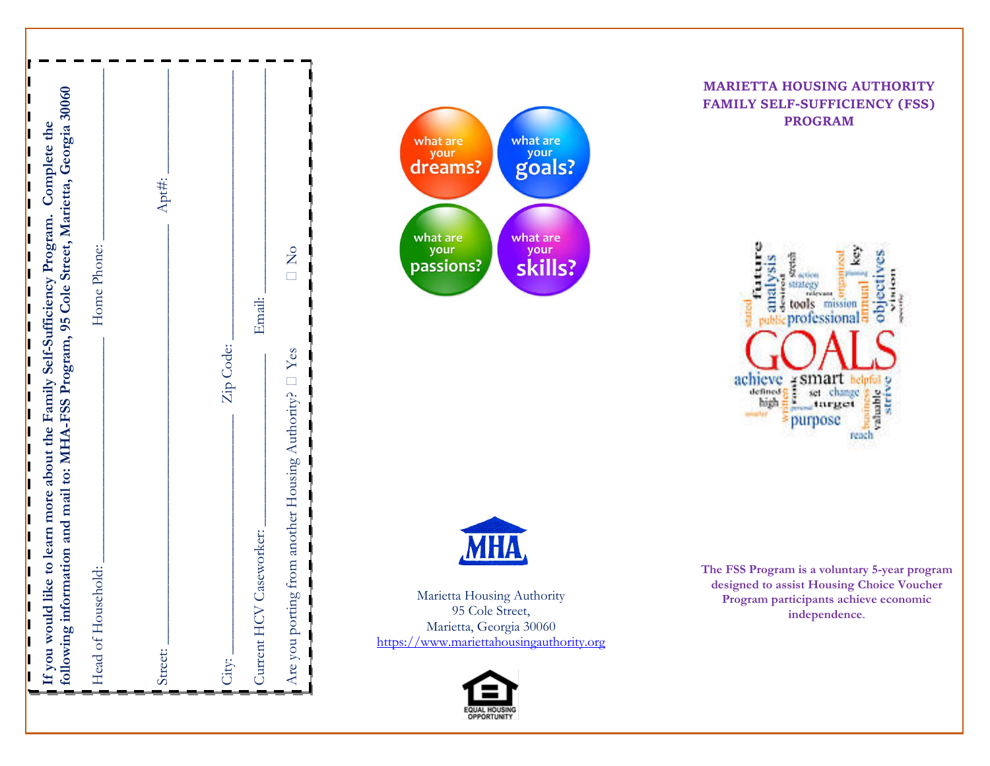| following information and mail to: MHA-FSS Program, 95 Cole Street, Marietta, Georgia 30060<br>If you would like to learn more about the Family Self-Sufficiency Program. Complete the | Home Phone:<br>Head of Household: | Apt#:<br>Street: | Zip Code: | Email:<br>Current HCV Caseworker: | $\overline{\square}$<br>Are you porting from another Housing Authority? $\Box$ Yes |
|----------------------------------------------------------------------------------------------------------------------------------------------------------------------------------------|-----------------------------------|------------------|-----------|-----------------------------------|------------------------------------------------------------------------------------|
|                                                                                                                                                                                        |                                   |                  | City:     |                                   |                                                                                    |





Marietta Housing Authority 95 Cole Street, Marietta, Georgia 30060 [https://www.mariettahousingauthority.org](https://www.mariettahousingauthority.org/)



**MARIETTA HOUSING AUTHORITY****FAMILY SELF-SUFFICIENCY (FSS) PROGRAM**



**The FSS Program is a voluntary 5 -year program designed to assist Housing Choice Voucher Program participants achieve economic independence** .